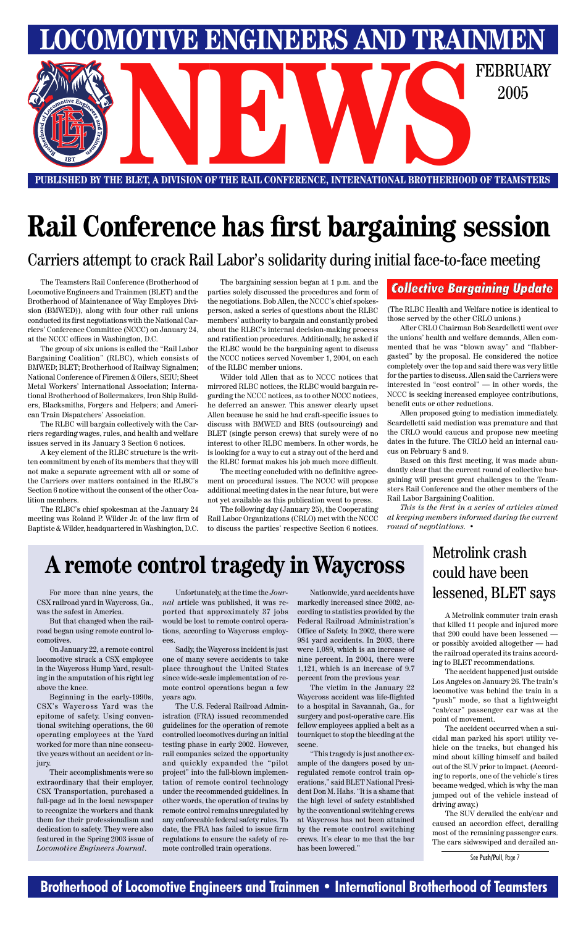#### **Brotherhood of Locomotive Engineers and Trainmen • International Brotherhood of Teamsters**



**PUBLISHED BY THE BLET, A DIVISION OF THE RAIL CONFERENCE, INTERNATIONAL BROTHERHOOD OF TEAMSTERS**

## **Rail Conference has first bargaining session**

The Teamsters Rail Conference (Brotherhood of Locomotive Engineers and Trainmen (BLET) and the Brotherhood of Maintenance of Way Employes Division (BMWED)), along with four other rail unions conducted its first negotiations with the National Carriers' Conference Committee (NCCC) on January 24, at the NCCC offices in Washington, D.C.

The group of six unions is called the "Rail Labor Bargaining Coalition" (RLBC), which consists of BMWED; BLET; Brotherhood of Railway Signalmen; National Conference of Firemen & Oilers, SEIU; Sheet Metal Workers' International Association; International Brotherhood of Boilermakers, Iron Ship Builders, Blacksmiths, Forgers and Helpers; and American Train Dispatchers' Association.

The RLBC will bargain collectively with the Carriers regarding wages, rules, and health and welfare issues served in its January 3 Section 6 notices.

A key element of the RLBC structure is the written commitment by each of its members that they will not make a separate agreement with all or some of the Carriers over matters contained in the RLBC's Section 6 notice without the consent of the other Coalition members.

The RLBC's chief spokesman at the January 24 meeting was Roland P. Wilder Jr. of the law firm of Baptiste & Wilder, headquartered in Washington, D.C.

The bargaining session began at 1 p.m. and the parties solely discussed the procedures and form of the negotiations. Bob Allen, the NCCC's chief spokesperson, asked a series of questions about the RLBC members' authority to bargain and constantly probed about the RLBC's internal decision-making process and ratification procedures. Additionally, he asked if the RLBC would be the bargaining agent to discuss the NCCC notices served November 1, 2004, on each of the RLBC member unions.

Wilder told Allen that as to NCCC notices that mirrored RLBC notices, the RLBC would bargain regarding the NCCC notices, as to other NCCC notices, he deferred an answer. This answer clearly upset Allen because he said he had craft-specific issues to discuss with BMWED and BRS (outsourcing) and BLET (single person crews) that surely were of no interest to other RLBC members. In other words, he is looking for a way to cut a stray out of the herd and the RLBC format makes his job much more difficult.

The meeting concluded with no definitive agreement on procedural issues. The NCCC will propose additional meeting dates in the near future, but were not yet available as this publication went to press.

The following day (January 25), the Cooperating Rail Labor Organizations (CRLO) met with the NCCC to discuss the parties' respective Section 6 notices.

(The RLBC Health and Welfare notice is identical to those served by the other CRLO unions.)

After CRLO Chairman Bob Scardelletti went over the unions' health and welfare demands, Allen commented that he was "blown away" and "flabbergasted" by the proposal. He considered the notice completely over the top and said there was very little for the parties to discuss. Allen said the Carriers were interested in "cost control" — in other words, the NCCC is seeking increased employee contributions, benefit cuts or other reductions.

Allen proposed going to mediation immediately. Scardelletti said mediation was premature and that the CRLO would caucus and propose new meeting dates in the future. The CRLO held an internal caucus on February 8 and 9.

Based on this first meeting, it was made abundantly clear that the current round of collective bargaining will present great challenges to the Teamsters Rail Conference and the other members of the Rail Labor Bargaining Coalition.

*This is the first in a series of articles aimed at keeping members informed during the current round of negotiations.* •

Carriers attempt to crack Rail Labor's solidarity during initial face-to-face meeting

#### *Collective Bargaining Update*

## **A remote control tragedy in Waycross**

For more than nine years, the CSX railroad yard in Waycross, Ga., was the safest in America.

But that changed when the railroad began using remote control locomotives.

On January 22, a remote control locomotive struck a CSX employee in the Waycross Hump Yard, resulting in the amputation of his right leg

above the knee.

Beginning in the early-1990s, CSX's Waycross Yard was the epitome of safety. Using conventional switching operations, the 60 operating employees at the Yard worked for more than nine consecutive years without an accident or injury.

Their accomplishments were so extraordinary that their employer, CSX Transportation, purchased a full-page ad in the local newspaper to recognize the workers and thank them for their professionalism and dedication to safety. They were also featured in the Spring 2003 issue of *Locomotive Engineers Journal*.

Unfortunately, at the time the *Journal* article was published, it was reported that approximately 37 jobs would be lost to remote control operations, according to Waycross employees.

Sadly, the Waycross incident is just one of many severe accidents to take place throughout the United States since wide-scale implementation of remote control operations began a few years ago.

The U.S. Federal Railroad Administration (FRA) issued recommended guidelines for the operation of remote controlled locomotives during an initial testing phase in early 2002. However, rail companies seized the opportunity and quickly expanded the "pilot project" into the full-blown implementation of remote control technology under the recommended guidelines. In other words, the operation of trains by remote control remains unregulated by any enforceable federal safety rules. To date, the FRA has failed to issue firm regulations to ensure the safety of remote controlled train operations.

Nationwide, yard accidents have markedly increased since 2002, according to statistics provided by the Federal Railroad Administration's Office of Safety. In 2002, there were 984 yard accidents. In 2003, there were 1,089, which is an increase of nine percent. In 2004, there were 1,121, which is an increase of 9.7 percent from the previous year.

The victim in the January 22 Waycross accident was life-flighted to a hospital in Savannah, Ga., for surgery and post-operative care. His fellow employees applied a belt as a tourniquet to stop the bleeding at the scene.

"This tragedy is just another example of the dangers posed by unregulated remote control train operations," said BLET National President Don M. Hahs. "It is a shame that the high level of safety established by the conventional switching crews at Waycross has not been attained by the remote control switching crews. It's clear to me that the bar has been lowered."

A Metrolink commuter train crash that killed 11 people and injured more that 200 could have been lessened or possibly avoided altogether — had the railroad operated its trains according to BLET recommendations.

The accident happened just outside Los Angeles on January 26. The train's locomotive was behind the train in a "push" mode, so that a lightweight "cab/car" passenger car was at the point of movement.

The accident occurred when a suicidal man parked his sport utility vehicle on the tracks, but changed his mind about killing himself and bailed out of the SUV prior to impact. (According to reports, one of the vehicle's tires became wedged, which is why the man jumped out of the vehicle instead of driving away.)

The SUV derailed the cab/car and caused an accordion effect, derailing most of the remaining passenger cars. The cars sidwswiped and derailed an-

### Metrolink crash could have been lessened, BLET says

See Push/Pull, Page 7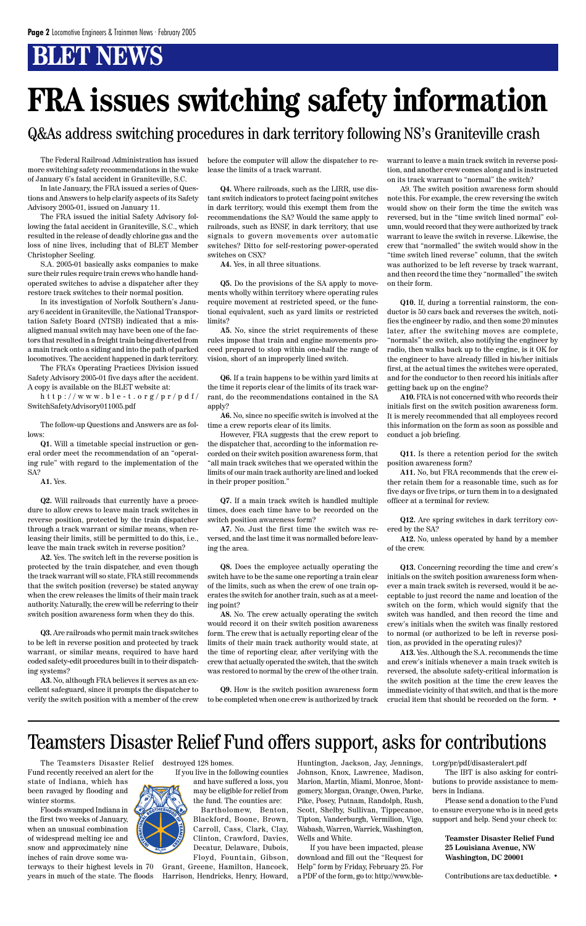## **BLET NEWS**

The Federal Railroad Administration has issued more switching safety recommendations in the wake of January 6's fatal accident in Graniteville, S.C.

In late January, the FRA issued a series of Questions and Answers to help clarify aspects of its Safety Advisory 2005-01, issued on January 11.

The FRA issued the initial Safety Advisory following the fatal accident in Graniteville, S.C., which resulted in the release of deadly chlorine gas and the loss of nine lives, including that of BLET Member Christopher Seeling.

S.A. 2005-01 basically asks companies to make sure their rules require train crews who handle handoperated switches to advise a dispatcher after they restore track switches to their normal position.

In its investigation of Norfolk Southern's January 6 accident in Graniteville, the National Transportation Safety Board (NTSB) indicated that a misaligned manual switch may have been one of the factors that resulted in a freight train being diverted from a main track onto a siding and into the path of parked locomotives. The accident happened in dark territory.

The FRA's Operating Practices Division issued Safety Advisory 2005-01 five days after the accident. A copy is available on the BLET website at:

http://www.ble-t.org/pr/pdf/ SwitchSafetyAdvisory011005.pdf

The follow-up Questions and Answers are as follows:

**Q1.** Will a timetable special instruction or general order meet the recommendation of an "operating rule" with regard to the implementation of the SA?

**A1.** Yes.

**Q2.** Will railroads that currently have a procedure to allow crews to leave main track switches in reverse position, protected by the train dispatcher through a track warrant or similar means, when releasing their limits, still be permitted to do this, i.e., leave the main track switch in reverse position?

**A2.** Yes. The switch left in the reverse position is protected by the train dispatcher, and even though the track warrant will so state, FRA still recommends that the switch position (reverse) be stated anyway when the crew releases the limits of their main track authority. Naturally, the crew will be referring to their switch position awareness form when they do this.

**Q3.** Are railroads who permit main track switches to be left in reverse position and protected by track warrant, or similar means, required to have hard coded safety-edit procedures built in to their dispatching systems?

**A3.** No, although FRA believes it serves as an excellent safeguard, since it prompts the dispatcher to verify the switch position with a member of the crew before the computer will allow the dispatcher to release the limits of a track warrant.

**Q4.** Where railroads, such as the LIRR, use distant switch indicators to protect facing point switches in dark territory, would this exempt them from the recommendations the SA? Would the same apply to railroads, such as BNSF, in dark territory, that use signals to govern movements over automatic switches? Ditto for self-restoring power-operated switches on CSX?

**A4.** Yes, in all three situations.

**Q5.** Do the provisions of the SA apply to movements wholly within territory where operating rules require movement at restricted speed, or the functional equivalent, such as yard limits or restricted limits?

**A5.** No, since the strict requirements of these rules impose that train and engine movements proceed prepared to stop within one-half the range of vision, short of an improperly lined switch.

**Q6.** If a train happens to be within yard limits at the time it reports clear of the limits of its track warrant, do the recommendations contained in the SA apply?

**A6.** No, since no specific switch is involved at the time a crew reports clear of its limits.

However, FRA suggests that the crew report to the dispatcher that, according to the information recorded on their switch position awareness form, that "all main track switches that we operated within the limits of our main track authority are lined and locked in their proper position."

**Q7.** If a main track switch is handled multiple times, does each time have to be recorded on the switch position awareness form?

**A7.** No. Just the first time the switch was reversed, and the last time it was normalled before leaving the area.

**Q8.** Does the employee actually operating the switch have to be the same one reporting a train clear of the limits, such as when the crew of one train operates the switch for another train, such as at a meeting point?

**A8.** No. The crew actually operating the switch would record it on their switch position awareness form. The crew that is actually reporting clear of the limits of their main track authority would state, at the time of reporting clear, after verifying with the crew that actually operated the switch, that the switch was restored to normal by the crew of the other train.

**Q9.** How is the switch position awareness form to be completed when one crew is authorized by track

warrant to leave a main track switch in reverse position, and another crew comes along and is instructed on its track warrant to "normal" the switch?

A9. The switch position awareness form should note this. For example, the crew reversing the switch would show on their form the time the switch was reversed, but in the "time switch lined normal" column, would record that they were authorized by track warrant to leave the switch in reverse. Likewise, the crew that "normalled" the switch would show in the "time switch lined reverse" column, that the switch was authorized to be left reverse by track warrant, and then record the time they "normalled" the switch on their form.

**Q10.** If, during a torrential rainstorm, the conductor is 50 cars back and reverses the switch, notifies the engineer by radio, and then some 20 minutes later, after the switching moves are complete, "normals" the switch, also notifying the engineer by radio, then walks back up to the engine, is it OK for the engineer to have already filled in his/her initials first, at the actual times the switches were operated, and for the conductor to then record his initials after getting back up on the engine?

**A10.** FRA is not concerned with who records their initials first on the switch position awareness form. It is merely recommended that all employees record this information on the form as soon as possible and conduct a job briefing.

**Q11.** Is there a retention period for the switch position awareness form?

**A11.** No, but FRA recommends that the crew either retain them for a reasonable time, such as for five days or five trips, or turn them in to a designated officer at a terminal for review.

**Q12.** Are spring switches in dark territory covered by the SA?

**A12.** No, unless operated by hand by a member of the crew.

**Q13.** Concerning recording the time and crew's initials on the switch position awareness form whenever a main track switch is reversed, would it be acceptable to just record the name and location of the switch on the form, which would signify that the switch was handled, and then record the time and crew's initials when the switch was finally restored to normal (or authorized to be left in reverse position, as provided in the operating rules)?

**A13.** Yes. Although the S.A. recommends the time and crew's initials whenever a main track switch is reversed, the absolute safety-critical information is the switch position at the time the crew leaves the immediate vicinity of that switch, and that is the more crucial item that should be recorded on the form. •

# **FRA issues switching safety information**

### Q&As address switching procedures in dark territory following NS's Graniteville crash

The Teamsters Disaster Relief

Fund recently received an alert for the state of Indiana, which has been ravaged by flooding and winter storms.

Floods swamped Indiana in the first two weeks of January, when an unusual combination of widespread melting ice and snow and approximately nine inches of rain drove some wa-

terways to their highest levels in 70 years in much of the state. The floods



destroyed 128 homes.

If you live in the following counties and have suffered a loss, you may be eligible for relief from the fund. The counties are: Bartholomew, Benton, Blackford, Boone, Brown, Carroll, Cass, Clark, Clay, Clinton, Crawford, Davies, Decatur, Delaware, Dubois, Floyd, Fountain, Gibson,

Grant, Greene, Hamilton, Hancock, Harrison, Hendricks, Henry, Howard, Huntington, Jackson, Jay, Jennings, Johnson, Knox, Lawrence, Madison, Marion, Martin, Miami, Monroe, Montgomery, Morgan, Orange, Owen, Parke, Pike, Posey, Putnam, Randolph, Rush, Scott, Shelby, Sullivan, Tippecanoe, Tipton, Vanderburgh, Vermilion, Vigo, Wabash, Warren, Warrick, Washington, Wells and White.

If you have been impacted, please download and fill out the "Request for Help" form by Friday, February 25. For a PDF of the form, go to: http://www.ble-

#### t.org/pr/pdf/disasteralert.pdf

The IBT is also asking for contributions to provide assistance to members in Indiana.

Please send a donation to the Fund to ensure everyone who is in need gets support and help. Send your check to:

**Teamster Disaster Relief Fund 25 Louisiana Avenue, NW Washington, DC 20001**

Contributions are tax deductible. •

### Teamsters Disaster Relief Fund offers support, asks for contributions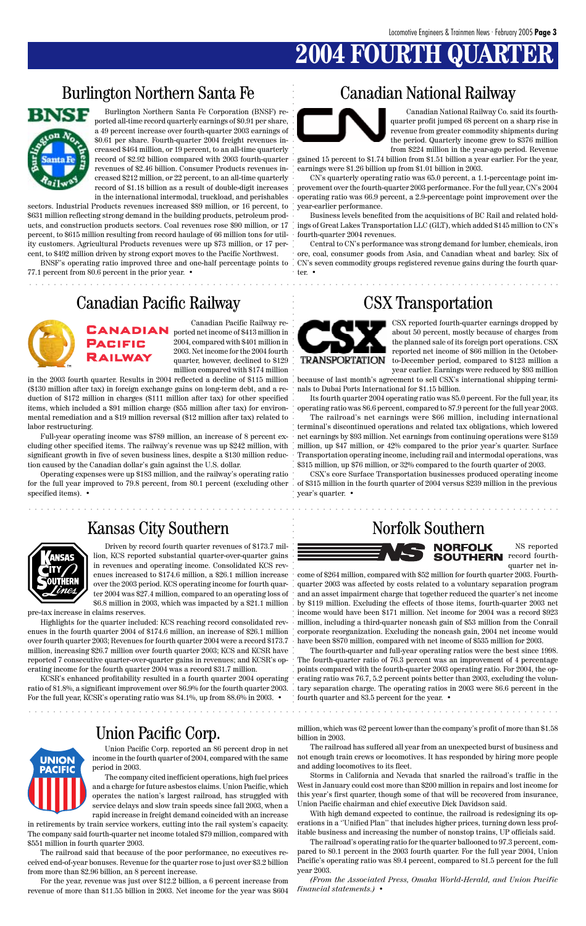### **2004 FOURTH QUA**

### Burlington Northern Santa Fe Canadian National Railway



### Union Pacific Corp.

aaaaaaaaaaaaaaaaaaaaaaaaaaaaaaaaaaaaaaaaaaaaaaaaaaaaaaaaaaaaaaaaaaaaaaaaaaaaaaaaaaaaaaa

aaaaaaaaaaaaaaaaaaaaaaaaaaaaaaaaaaaaaaaaaaaaaaaaaaaaaaaaaaaaaaaaaaaaaaaaaaaaaaaaaaaaaaa

Burlington Northern Santa Fe Corporation (BNSF) reported all-time record quarterly earnings of \$0.91 per share, a 49 percent increase over fourth-quarter 2003 earnings of \$0.61 per share. Fourth-quarter 2004 freight revenues increased \$464 million, or 19 percent, to an all-time quarterly record of \$2.92 billion compared with 2003 fourth-quarter revenues of \$2.46 billion. Consumer Products revenues increased \$212 million, or 22 percent, to an all-time quarterly in the international intermodal, truckload, and perishables

sectors. Industrial Products revenues increased \$89 million, or 16 percent, to \$631 million reflecting strong demand in the building products, petroleum products, and construction products sectors. Coal revenues rose \$90 million, or 17 percent, to \$615 million resulting from record haulage of 66 million tons for utility customers. Agricultural Products revenues were up \$73 million, or 17 percent, to \$492 million driven by strong export moves to the Pacific Northwest.

BNSF's operating ratio improved three and one-half percentage points to 77.1 percent from 80.6 percent in the prior year. •

### Canadian Pacific Railway CSX Transportation



record of \$1.18 billion as a result of double-digit increases provement over the fourth-quarter 2003 performance. For the full year, CN's 2004 CN's quarterly operating ratio was 65.0 percent, a 1.1-percentage point imoperating ratio was 66.9 percent, a 2.9-percentage point improvement over the year-earlier performance.

Canadian National Railway Co. said its fourthquarter profit jumped 68 percent on a sharp rise in revenue from greater commodity shipments during the period. Quarterly income grew to \$376 million from \$224 million in the year-ago period. Revenue

gained 15 percent to \$1.74 billion from \$1.51 billion a year earlier. For the year, earnings were \$1.26 billion up from \$1.01 billion in 2003.

Business levels benefited from the acquisitions of BC Rail and related holdings of Great Lakes Transportation LLC (GLT), which added \$145 million to CN's fourth-quarter 2004 revenues.

for the full year improved to 79.8 percent, from 80.1 percent (excluding other ) of \$315 million in the fourth quarter of 2004 versus \$239 million in the previous Operating expenses were up \$183 million, and the railway's operating ratio specified items). •

Central to CN's performance was strong demand for lumber, chemicals, iron ore, coal, consumer goods from Asia, and Canadian wheat and barley. Six of CN's seven commodity groups registered revenue gains during the fourth quarter. •



The fourth-quarter and full-year operating ratios were the best since 1998. reported 7 consecutive quarter-over-quarter gains in revenues; and KCSR's op-  $\, \cdot \,$  The fourth-quarter ratio of 76.3 percent was an improvement of 4 percentage points compared with the fourth-quarter 2003 operating ratio. For 2004, the operating ratio was 76.7, 5.2 percent points better than 2003, excluding the volunratio of 81.8%, a significant improvement over 86.9% for the fourth quarter 2003. . tary separation charge. The operating ratios in 2003 were 86.6 percent in the fourth quarter and 83.5 percent for the year. •

CSX reported fourth-quarter earnings dropped by about 50 percent, mostly because of charges from the planned sale of its foreign port operations. CSX reported net income of \$66 million in the Octoberto-December period, compared to \$123 million a year earlier. Earnings were reduced by \$93 million

aaaaaaaaaaaaaaaaaaaaaaaaaaaaaaaaaaaaaaaaaaaaaaaaaaaaaaaaaaaaaaaaa aaaaaaaaaaaaaaaaaaaaaa aaaaaaaaaaaaaaaaaaaaaaaaaaaaaaa aaaa aaaaaaaaaaaaaaaaaaaaaaaaaaa aaaaaaaaaaaaaaaa aaaaaaaaaaaaaaaaaa come of \$264 million, compared with \$52 million for fourth quarter 2003. Fourthquarter 2003 was affected by costs related to a voluntary separation program and an asset impairment charge that together reduced the quarter's net income by \$119 million. Excluding the effects of those items, fourth-quarter 2003 net income would have been \$171 million. Net income for 2004 was a record \$923 million, including a third-quarter noncash gain of \$53 million from the Conrail corporate reorganization. Excluding the noncash gain, 2004 net income would have been \$870 million, compared with net income of \$535 million for 2003.

because of last month's agreement to sell CSX's international shipping terminals to Dubai Ports International for \$1.15 billion.

Its fourth quarter 2004 operating ratio was 85.0 percent. For the full year, its operating ratio was 86.6 percent, compared to 87.9 percent for the full year 2003.

The railroad's net earnings were \$66 million, including international terminal's discontinued operations and related tax obligations, which lowered net earnings by \$93 million. Net earnings from continuing operations were \$159 million, up \$47 million, or 42% compared to the prior year's quarter. Surface Transportation operating income, including rail and intermodal operations, was \$315 million, up \$76 million, or 32% compared to the fourth quarter of 2003.

CSX's core Surface Transportation businesses produced operating income year's quarter. •

### Kansas City Southern Norfolk Southern



Canadian Pacific Railway reported net income of \$413 million in 2004, compared with \$401 million in 2003. Net income for the 2004 fourth quarter, however, declined to \$129 million compared with \$174 million

in the 2003 fourth quarter. Results in 2004 reflected a decline of \$115 million (\$130 million after tax) in foreign exchange gains on long-term debt, and a reduction of \$172 million in charges (\$111 million after tax) for other specified items, which included a \$91 million charge (\$55 million after tax) for environmental remediation and a \$19 million reversal (\$12 million after tax) related to labor restructuring.

Full-year operating income was \$789 million, an increase of 8 percent excluding other specified items. The railway's revenue was up \$242 million, with significant growth in five of seven business lines, despite a \$130 million reduction caused by the Canadian dollar's gain against the U.S. dollar.

> NS reported **SOUTHERN** record fourthquarter net in-

Union Pacific Corp. reported an 86 percent drop in net income in the fourth quarter of 2004, compared with the same period in 2003.

The company cited inefficient operations, high fuel prices and a charge for future asbestos claims. Union Pacific, which operates the nation's largest railroad, has struggled with service delays and slow train speeds since fall 2003, when a rapid increase in freight demand coincided with an increase

in retirements by train service workers, cutting into the rail system's capacity. The company said fourth-quarter net income totaled \$79 million, compared with \$551 million in fourth quarter 2003.

The railroad said that because of the poor performance, no executives received end-of-year bonuses. Revenue for the quarter rose to just over \$3.2 billion from more than \$2.96 billion, an 8 percent increase.

For the year, revenue was just over \$12.2 billion, a 6 percent increase from revenue of more than \$11.55 billion in 2003. Net income for the year was \$604 million, which was 62 percent lower than the company's profit of more than \$1.58 billion in 2003.

The railroad has suffered all year from an unexpected burst of business and not enough train crews or locomotives. It has responded by hiring more people and adding locomotives to its fleet.

Storms in California and Nevada that snarled the railroad's traffic in the West in January could cost more than \$200 million in repairs and lost income for this year's first quarter, though some of that will be recovered from insurance, Union Pacific chairman and chief executive Dick Davidson said.

With high demand expected to continue, the railroad is redesigning its operations in a ''Unified Plan'' that includes higher prices, turning down less profitable business and increasing the number of nonstop trains, UP officials said.

The railroad's operating ratio for the quarter ballooned to 97.3 percent, compared to 80.1 percent in the 2003 fourth quarter. For the full year 2004, Union Pacific's operating ratio was 89.4 percent, compared to 81.5 percent for the full year 2003.

*(From the Associated Press, Omaha World-Herald, and Union Pacific financial statements.)* •

Driven by record fourth quarter revenues of \$173.7 million, KCS reported substantial quarter-over-quarter gains in revenues and operating income. Consolidated KCS revenues increased to \$174.6 million, a \$26.1 million increase over the 2003 period. KCS operating income for fourth quarter 2004 was \$27.4 million, compared to an operating loss of \$6.8 million in 2003, which was impacted by a \$21.1 million

pre-tax increase in claims reserves.

Highlights for the quarter included: KCS reaching record consolidated revenues in the fourth quarter 2004 of \$174.6 million, an increase of \$26.1 million over fourth quarter 2003; Revenues for fourth quarter 2004 were a record \$173.7 million, increasing \$26.7 million over fourth quarter 2003; KCS and KCSR have erating income for the fourth quarter 2004 was a record \$31.7 million.

KCSR's enhanced profitability resulted in a fourth quarter 2004 operating



For the full year, KCSR's operating ratio was 84.1%, up from 88.6% in 2003. •

UNION **PACIFIC**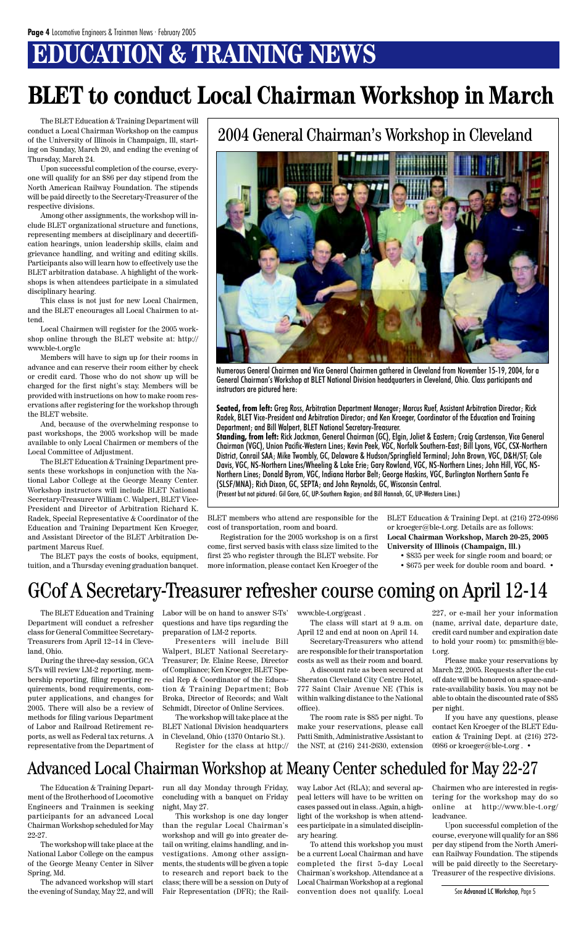## **EDUCATION & TRAINING NEWS**

The BLET Education & Training Department will conduct a Local Chairman Workshop on the campus of the University of Illinois in Champaign, Ill, starting on Sunday, March 20, and ending the evening of Thursday, March 24.

Upon successful completion of the course, everyone will qualify for an \$86 per day stipend from the North American Railway Foundation. The stipends will be paid directly to the Secretary-Treasurer of the respective divisions.

Among other assignments, the workshop will include BLET organizational structure and functions, representing members at disciplinary and decertification hearings, union leadership skills, claim and grievance handling, and writing and editing skills. Participants also will learn how to effectively use the BLET arbitration database. A highlight of the workshops is when attendees participate in a simulated disciplinary hearing.

This class is not just for new Local Chairmen, and the BLET encourages all Local Chairmen to attend.

Local Chairmen will register for the 2005 workshop online through the BLET website at: http:// www.ble-t.org/lc

Members will have to sign up for their rooms in advance and can reserve their room either by check or credit card. Those who do not show up will be charged for the first night's stay. Members will be provided with instructions on how to make room reservations after registering for the workshop through the BLET website.

And, because of the overwhelming response to past workshops, the 2005 workshop will be made available to only Local Chairmen or members of the Local Committee of Adjustment.

The BLET Education & Training Department presents these workshops in conjunction with the National Labor College at the George Meany Center. Workshop instructors will include BLET National Secretary-Treasurer William C. Walpert, BLET Vice-President and Director of Arbitration Richard K. Radek, Special Representative & Coordinator of the Education and Training Department Ken Kroeger, and Assistant Director of the BLET Arbitration Department Marcus Ruef.

The BLET pays the costs of books, equipment, tuition, and a Thursday evening graduation banquet.

> If you have any questions, please contact Ken Kroeger of the BLET Education & Training Dept. at (216) 272- 0986 or kroeger@ble-t.org. •

BLET members who attend are responsible for the cost of transportation, room and board.

Registration for the 2005 workshop is on a first come, first served basis with class size limited to the first 25 who register through the BLET website. For more information, please contact Ken Kroeger of the

## **BLET to conduct Local Chairman Workshop in March**

The BLET Education and Training Department will conduct a refresher class for General Committee Secretary-Treasurers from April 12–14 in Cleveland, Ohio.

During the three-day session, GCA S/Ts will review LM-2 reporting, membership reporting, filing reporting requirements, bond requirements, computer applications, and changes for 2005. There will also be a review of methods for filing various Department of Labor and Railroad Retirement reports, as well as Federal tax returns. A representative from the Department of

Labor will be on hand to answer S-Ts' questions and have tips regarding the preparation of LM-2 reports.

Presenters will include Bill Walpert, BLET National Secretary-Treasurer; Dr. Elaine Reese, Director of Compliance; Ken Kroeger, BLET Special Rep & Coordinator of the Education & Training Department; Bob Broka, Director of Records; and Walt Schmidt, Director of Online Services.

The workshop will take place at the BLET National Division headquarters in Cleveland, Ohio (1370 Ontario St.). Register for the class at http://

www.ble-t.org/gcast .

The class will start at 9 a.m. on April 12 and end at noon on April 14.

Secretary-Treasurers who attend are responsible for their transportation costs as well as their room and board.

A discount rate as been secured at eraton Cleveland City Centre Hotel, 777 Saint Clair Avenue NE (This is within walking distance to the National office).

The room rate is \$85 per night. To make your reservations, please call Patti Smith, Administrative Assistant to the NST, at (216) 241-2630, extension 227, or e-mail her your information (name, arrival date, departure date, credit card number and expiration date to hold your room) to: pmsmith@blet.org.

Please make your reservations by March 22, 2005. Requests after the cutoff date will be honored on a space-andrate-availability basis. You may not be able to obtain the discounted rate of \$85 per night.

### GCof A Secretary-Treasurer refresher course coming on April 12-14

The Education & Training Department of the Brotherhood of Locomotive Engineers and Trainmen is seeking participants for an advanced Local Chairman Workshop scheduled for May 22-27.

The workshop will take place at the National Labor College on the campus of the George Meany Center in Silver Spring, Md.

The advanced workshop will start the evening of Sunday, May 22, and will run all day Monday through Friday, concluding with a banquet on Friday night, May 27.

This workshop is one day longer than the regular Local Chairman's workshop and will go into greater detail on writing, claims handling, and investigations. Among other assignments, the students will be given a topic to research and report back to the class; there will be a session on Duty of Fair Representation (DFR); the Railway Labor Act (RLA); and several appeal letters will have to be written on cases passed out in class. Again, a highlight of the workshop is when attendees participate in a simulated disciplinary hearing.

To attend this workshop you must be a current Local Chairman and have completed the first 5-day Local Chairman's workshop. Attendance at a Local Chairman Workshop at a regional convention does not qualify. Local Chairmen who are interested in registering for the workshop may do so online at http://www.ble-t.org/ lcadvance.

Upon successful completion of the course, everyone will qualify for an \$86 per day stipend from the North American Railway Foundation. The stipends will be paid directly to the Secretary-Treasurer of the respective divisions.

#### Advanced Local Chairman Workshop at Meany Center scheduled for May 22-27

BLET Education & Training Dept. at (216) 272-0986 or kroeger@ble-t.org. Details are as follows: **Local Chairman Workshop, March 20-25, 2005 University of Illinois (Champaign, Ill.)**

- \$835 per week for single room and board; or
- \$675 per week for double room and board. •

### 2004 General Chairman's Workshop in Cleveland



Numerous General Chairmen and Vice General Chairmen gathered in Cleveland from November 15-19, 2004, for a General Chairman's Workshop at BLET National Division headquarters in Cleveland, Ohio. Class participants and instructors are pictured here:

**Seated, from left:** Greg Ross, Arbitration Department Manager; Marcus Ruef, Assistant Arbitration Director; Rick Radek, BLET Vice-President and Arbitration Director; and Ken Kroeger, Coordinator of the Education and Training Department; and Bill Walpert, BLET National Secretary-Treasurer.

**Standing, from left:** Rick Jackman, General Chairman (GC), Elgin, Joliet & Eastern; Craig Carstenson, Vice General Chairman (VGC), Union Pacific-Western Lines; Kevin Peek, VGC, Norfolk Southern-East; Bill Lyons, VGC, CSX-Northern District, Conrail SAA; Mike Twombly, GC, Delaware & Hudson/Springfield Terminal; John Brown, VGC, D&H/ST; Cole Davis, VGC, NS-Northern Lines/Wheeling & Lake Erie; Gary Rowland, VGC, NS-Northern Lines; John Hill, VGC, NS-Northern Lines; Donald Byrom, VGC, Indiana Harbor Belt; George Haskins, VGC, Burlington Northern Santa Fe (SLSF/MNA); Rich Dixon, GC, SEPTA; and John Reynolds, GC, Wisconsin Central.

(Present but not pictured: Gil Gore, GC, UP-Southern Region; and Bill Hannah, GC, UP-Western Lines.)

See Advanced LC Workshop, Page 5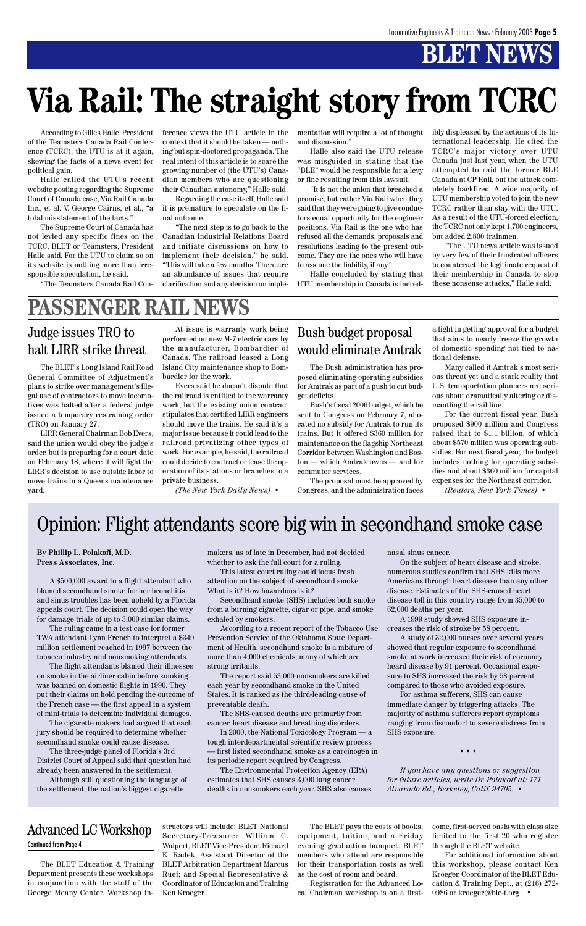### **BT NEW**

**By Phillip L. Polakoff, M.D. Press Associates, Inc.**

A \$500,000 award to a flight attendant who blamed secondhand smoke for her bronchitis and sinus troubles has been upheld by a Florida appeals court. The decision could open the way for damage trials of up to 3,000 similar claims.

The ruling came in a test case for former TWA attendant Lynn French to interpret a \$349 million settlement reached in 1997 between the tobacco industry and nonsmoking attendants.

The flight attendants blamed their illnesses on smoke in the airliner cabin before smoking

was banned on domestic flights in 1990. They put their claims on hold pending the outcome of the French case — the first appeal in a system of mini-trials to determine individual damages.

The cigarette makers had argued that each jury should be required to determine whether secondhand smoke could cause disease.

The three-judge panel of Florida's 3rd District Court of Appeal said that question had already been answered in the settlement.

Although still questioning the language of the settlement, the nation's biggest cigarette

makers, as of late in December, had not decided whether to ask the full court for a ruling.

This latest court ruling could focus fresh attention on the subject of secondhand smoke: What is it? How hazardous is it?

Secondhand smoke (SHS) includes both smoke from a burning cigarette, cigar or pipe, and smoke exhaled by smokers.

According to a recent report of the Tobacco Use Prevention Service of the Oklahoma State Department of Health, secondhand smoke is a mixture of more than 4,000 chemicals, many of which are strong irritants.

The report said 53,000 nonsmokers are killed each year by secondhand smoke in the United States. It is ranked as the third-leading cause of preventable death.

The SHS-caused deaths are primarily from cancer, heart disease and breathing disorders.

In 2000, the National Toxicology Program — a tough interdepartmental scientific review process — first listed secondhand smoke as a carcinogen in

> For additional information about this workshop, please contact Ken Kroeger, Coordinator of the BLET Education & Training Dept., at (216) 272- 0986 or kroeger@ble-t.org. •

its periodic report required by Congress.

The Environmental Protection Agency (EPA) estimates that SHS causes 3,000 lung cancer deaths in nonsmokers each year. SHS also causes nasal sinus cancer.

On the subject of heart disease and stroke, numerous studies confirm that SHS kills more Americans through heart disease than any other disease. Estimates of the SHS-caused heart disease toll in this country range from 35,000 to 62,000 deaths per year.

A 1999 study showed SHS exposure increases the risk of stroke by 58 percent.

A study of 32,000 nurses over several years showed that regular exposure to secondhand smoke at work increased their risk of coronary heard disease by 91 percent. Occasional exposure to SHS increased the risk by 58 percent

compared to those who avoided exposure.

For asthma sufferers, SHS can cause immediate danger by triggering attacks. The majority of asthma sufferers report symptoms ranging from discomfort to severe distress from SHS exposure.

• • •

*If you have any questions or suggestion for future articles, write Dr. Polakoff at: 171 Alvarado Rd., Berkeley, Calif. 94705.* •

The BLET Education & Training Department presents these workshops in conjunction with the staff of the George Meany Center. Workshop instructors will include: BLET National Secretary-Treasurer William C. Walpert; BLET Vice-President Richard K. Radek; Assistant Director of the BLET Arbitration Department Marcus Ruef; and Special Representative & Coordinator of Education and Training Ken Kroeger.

#### Advanced LC Workshop Continued from Page 4

The BLET pays the costs of books, equipment, tuition, and a Friday evening graduation banquet. BLET members who attend are responsible for their transportation costs as well as the cost of room and board.

Registration for the Advanced Local Chairman workshop is on a firstcome, first-served basis with class size limited to the first 20 who register through the BLET website.

### Opinion: Flight attendants score big win in secondhand smoke case

According to Gilles Halle, President of the Teamsters Canada Rail Conference (TCRC), the UTU is at it again, skewing the facts of a news event for political gain.

Halle called the UTU's recent website posting regarding the Supreme Court of Canada case, Via Rail Canada Inc., et al. V. George Cairns, et al., "a total misstatement of the facts."

The Supreme Court of Canada has not levied any specific fines on the TCRC, BLET or Teamsters, President Halle said. For the UTU to claim so on its website is nothing more than irresponsible speculation, he said.

"The Teamsters Canada Rail Con-

ference views the UTU article in the context that it should be taken — nothing but spin-doctored propaganda. The real intent of this article is to scare the growing number of (the UTU's) Canadian members who are questioning their Canadian autonomy," Halle said.

Regarding the case itself, Halle said it is premature to speculate on the final outcome.

"The next step is to go back to the Canadian Industrial Relations Board and initiate discussions on how to implement their decision," he said. "This will take a few months. There are an abundance of issues that require clarification and any decision on implementation will require a lot of thought and discussion."

Halle also said the UTU release was misguided in stating that the "BLE" would be responsible for a levy or fine resulting from this lawsuit.

"It is not the union that breached a promise, but rather Via Rail when they said that they were going to give conductors equal opportunity for the engineer positions. Via Rail is the one who has refused all the demands, proposals and resolutions leading to the present outcome. They are the ones who will have to assume the liability, if any."

Halle concluded by stating that UTU membership in Canada is incredibly displeased by the actions of its International leadership. He cited the TCRC's major victory over UTU Canada just last year, when the UTU attempted to raid the former BLE Canada at CP Rail, but the attack completely backfired. A wide majority of UTU membership voted to join the new TCRC rather than stay with the UTU. As a result of the UTU-forced election, the TCRC not only kept 1,700 engineers, but added 2,800 trainmen.

"The UTU news article was issued by very few of their frustrated officers to counteract the legitimate request of their membership in Canada to stop these nonsense attacks," Halle said.

# **Via Rail: The straight story from TCRC**

### **PASSENGER RAIL NEWS**

#### Judge issues TRO to halt LIRR strike threat

The BLET's Long Island Rail Road General Committee of Adjustment's plans to strike over management's illegal use of contractors to move locomotives was halted after a federal judge issued a temporary restraining order (TRO) on January 27.

LIRR General Chairman Bob Evers, said the union would obey the judge's order, but is preparing for a court date on February 18, where it will fight the LIRR's decision to use outside labor to move trains in a Queens maintenance yard.

At issue is warranty work being performed on new M-7 electric cars by the manufacturer, Bombardier of Canada. The railroad leased a Long Island City maintenance shop to Bombardier for the work.

Evers said he doesn't dispute that the railroad is entitled to the warranty work, but the existing union contract stipulates that certified LIRR engineers should move the trains. He said it's a major issue because it could lead to the railroad privatizing other types of work. For example, he said, the railroad could decide to contract or lease the operation of its stations or branches to a private business.

*(The New York Daily News)* •

#### Bush budget proposal would eliminate Amtrak

The Bush administration has proposed eliminating operating subsidies for Amtrak as part of a push to cut budget deficits.

Bush's fiscal 2006 budget, which he sent to Congress on February 7, allocated no subsidy for Amtrak to run its trains. But it offered \$360 million for maintenance on the flagship Northeast Corridor between Washington and Boston — which Amtrak owns — and for commuter services.

The proposal must be approved by Congress, and the administration faces a fight in getting approval for a budget that aims to nearly freeze the growth of domestic spending not tied to national defense.

Many called it Amtrak's most serious threat yet and a stark reality that U.S. transportation planners are serious about dramatically altering or dismantling the rail line.

For the current fiscal year, Bush proposed \$900 million and Congress raised that to \$1.1 billion, of which about \$570 million was operating subsidies. For next fiscal year, the budget includes nothing for operating subsidies and about \$360 million for capital expenses for the Northeast corridor.

*(Reuters, New York Times)* •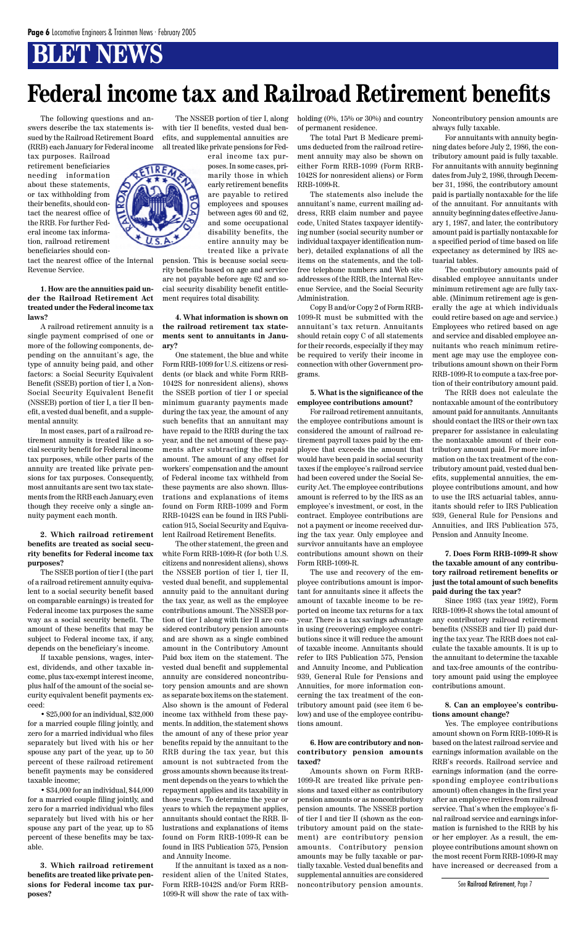### **BLET NEWS**

The following questions and answers describe the tax statements issued by the Railroad Retirement Board (RRB) each January for Federal income

tax purposes. Railroad retirement beneficiaries needing information about these statements, or tax withholding from their benefits, should contact the nearest office of the RRB. For further Federal income tax information, railroad retirement beneficiaries should con-

tact the nearest office of the Internal Revenue Service.

**1. How are the annuities paid under the Railroad Retirement Act treated under the Federal income tax laws?**

A railroad retirement annuity is a single payment comprised of one or more of the following components, depending on the annuitant's age, the type of annuity being paid, and other factors: a Social Security Equivalent Benefit (SSEB) portion of tier I, a Non-Social Security Equivalent Benefit (NSSEB) portion of tier I, a tier II benefit, a vested dual benefit, and a supplemental annuity.

In most cases, part of a railroad retirement annuity is treated like a social security benefit for Federal income tax purposes, while other parts of the annuity are treated like private pensions for tax purposes. Consequently, most annuitants are sent two tax statements from the RRB each January, even though they receive only a single annuity payment each month.

#### **2. Which railroad retirement benefits are treated as social security benefits for Federal income tax purposes?**

The SSEB portion of tier I (the part of a railroad retirement annuity equivalent to a social security benefit based on comparable earnings) is treated for Federal income tax purposes the same way as a social security benefit. The amount of these benefits that may be subject to Federal income tax, if any, depends on the beneficiary's income.

If taxable pensions, wages, interest, dividends, and other taxable income, plus tax-exempt interest income,

plus half of the amount of the social security equivalent benefit payments exceed:

• \$25,000 for an individual, \$32,000 for a married couple filing jointly, and zero for a married individual who files separately but lived with his or her spouse any part of the year, up to 50 percent of these railroad retirement benefit payments may be considered taxable income;

• \$34,000 for an individual, \$44,000 for a married couple filing jointly, and zero for a married individual who files separately but lived with his or her spouse any part of the year, up to 85 percent of these benefits may be taxable.

**3. Which railroad retirement benefits are treated like private pensions for Federal income tax purposes?**

The NSSEB portion of tier I, along with tier II benefits, vested dual benefits, and supplemental annuities are all treated like private pensions for Fedholding  $(0\%, 15\% \text{ or } 30\%)$  and country of permanent residence.

eral income tax purposes. In some cases, primarily those in which early retirement benefits are payable to retired employees and spouses between ages 60 and 62, and some occupational disability benefits, the entire annuity may be treated like a private

pension. This is because social security benefits based on age and service are not payable before age 62 and social security disability benefit entitlement requires total disability.

**4. What information is shown on the railroad retirement tax statements sent to annuitants in January?**

One statement, the blue and white Form RRB-1099 for U.S. citizens or residents (or black and white Form RRB-1042S for nonresident aliens), shows the SSEB portion of tier I or special minimum guaranty payments made during the tax year, the amount of any such benefits that an annuitant may have repaid to the RRB during the tax year, and the net amount of these payments after subtracting the repaid amount. The amount of any offset for workers' compensation and the amount of Federal income tax withheld from these payments are also shown. Illustrations and explanations of items found on Form RRB-1099 and Form RRB-1042S can be found in IRS Publication 915, Social Security and Equivalent Railroad Retirement Benefits.

The other statement, the green and white Form RRB-1099-R (for both U.S. citizens and nonresident aliens), shows the NSSEB portion of tier I, tier II, vested dual benefit, and supplemental annuity paid to the annuitant during the tax year, as well as the employee contributions amount. The NSSEB portion of tier I along with tier II are considered contributory pension amounts and are shown as a single combined amount in the Contributory Amount Paid box item on the statement. The vested dual benefit and supplemental annuity are considered noncontributory pension amounts and are shown as separate box items on the statement. Also shown is the amount of Federal income tax withheld from these payments. In addition, the statement shows the amount of any of these prior year benefits repaid by the annuitant to the RRB during the tax year, but this amount is not subtracted from the gross amounts shown because its treatment depends on the years to which the repayment applies and its taxability in those years. To determine the year or years to which the repayment applies, annuitants should contact the RRB. Illustrations and explanations of items found on Form RRB-1099-R can be found in IRS Publication 575, Pension and Annuity Income.

If the annuitant is taxed as a nonresident alien of the United States, Form RRB-1042S and/or Form RRB-1099-R will show the rate of tax with-

The total Part B Medicare premiums deducted from the railroad retirement annuity may also be shown on either Form RRB-1099 (Form RRB-1042S for nonresident aliens) or Form RRB-1099-R.

The statements also include the annuitant's name, current mailing address, RRB claim number and payee code, United States taxpayer identifying number (social security number or individual taxpayer identification number), detailed explanations of all the items on the statements, and the tollfree telephone numbers and Web site addresses of the RRB, the Internal Revenue Service, and the Social Security Administration.

Copy B and/or Copy 2 of Form RRB-1099-R must be submitted with the annuitant's tax return. Annuitants should retain copy C of all statements for their records, especially if they may be required to verify their income in connection with other Government programs.

#### **5. What is the significance of the employee contributions amount?**

For railroad retirement annuitants, the employee contributions amount is considered the amount of railroad retirement payroll taxes paid by the employee that exceeds the amount that would have been paid in social security taxes if the employee's railroad service had been covered under the Social Security Act. The employee contributions amount is referred to by the IRS as an employee's investment, or cost, in the contract. Employee contributions are not a payment or income received during the tax year. Only employee and survivor annuitants have an employee contributions amount shown on their Form RRB-1099-R.

The use and recovery of the employee contributions amount is important for annuitants since it affects the amount of taxable income to be reported on income tax returns for a tax year. There is a tax savings advantage in using (recovering) employee contributions since it will reduce the amount of taxable income. Annuitants should refer to IRS Publication 575, Pension and Annuity Income, and Publication 939, General Rule for Pensions and

Annuities, for more information concerning the tax treatment of the contributory amount paid (see item 6 below) and use of the employee contributions amount.

**6. How are contributory and noncontributory pension amounts taxed?**

Amounts shown on Form RRB-1099-R are treated like private pensions and taxed either as contributory pension amounts or as noncontributory pension amounts. The NSSEB portion of tier I and tier II (shown as the contributory amount paid on the statement) are contributory pension amounts. Contributory pension amounts may be fully taxable or partially taxable. Vested dual benefits and supplemental annuities are considered noncontributory pension amounts.

Noncontributory pension amounts are always fully taxable.

For annuitants with annuity beginning dates before July 2, 1986, the contributory amount paid is fully taxable. For annuitants with annuity beginning dates from July 2, 1986, through December 31, 1986, the contributory amount paid is partially nontaxable for the life of the annuitant. For annuitants with annuity beginning dates effective January 1, 1987, and later, the contributory amount paid is partially nontaxable for a specified period of time based on life expectancy as determined by IRS actuarial tables.

The contributory amounts paid of disabled employee annuitants under minimum retirement age are fully taxable. (Minimum retirement age is generally the age at which individuals could retire based on age and service.) Employees who retired based on age and service and disabled employee annuitants who reach minimum retirement age may use the employee contributions amount shown on their Form RRB-1099-R to compute a tax-free portion of their contributory amount paid.

The RRB does not calculate the nontaxable amount of the contributory amount paid for annuitants. Annuitants should contact the IRS or their own tax preparer for assistance in calculating the nontaxable amount of their contributory amount paid. For more information on the tax treatment of the contributory amount paid, vested dual benefits, supplemental annuities, the employee contributions amount, and how to use the IRS actuarial tables, annuitants should refer to IRS Publication 939, General Rule for Pensions and Annuities, and IRS Publication 575, Pension and Annuity Income.

**7. Does Form RRB-1099-R show the taxable amount of any contributory railroad retirement benefits or just the total amount of such benefits paid during the tax year?**

Since 1993 (tax year 1992), Form RRB-1099-R shows the total amount of any contributory railroad retirement benefits (NSSEB and tier II) paid during the tax year. The RRB does not calculate the taxable amounts. It is up to the annuitant to determine the taxable and tax-free amounts of the contributory amount paid using the employee



contributions amount.

#### **8. Can an employee's contributions amount change?**

Yes. The employee contributions amount shown on Form RRB-1099-R is based on the latest railroad service and earnings information available on the RRB's records. Railroad service and earnings information (and the corresponding employee contributions amount) often changes in the first year after an employee retires from railroad service. That's when the employee's final railroad service and earnings information is furnished to the RRB by his or her employer. As a result, the employee contributions amount shown on the most recent Form RRB-1099-R may have increased or decreased from a

## **Federal income tax and Railroad Retirement benefits**

See Railroad Retirement, Page 7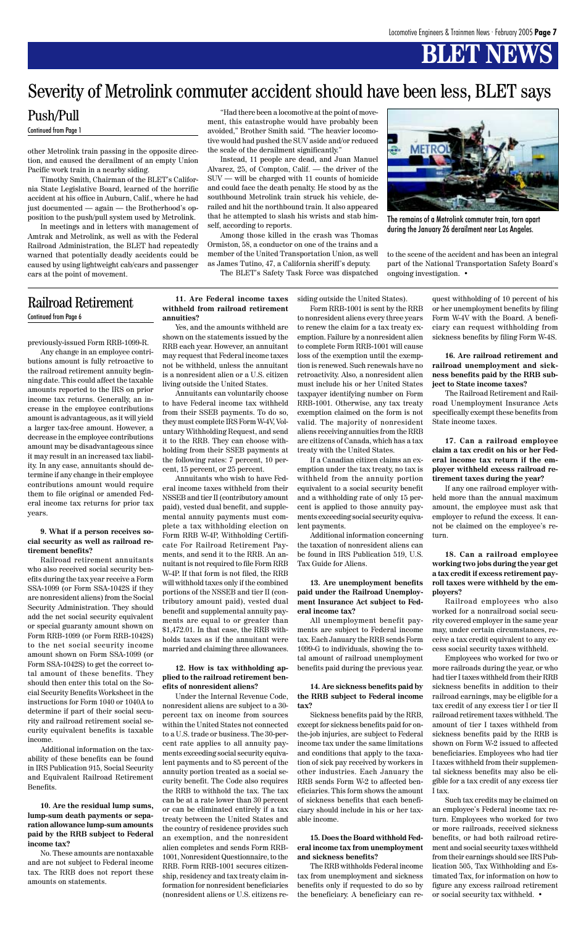## **BLET NEWS**

previously-issued Form RRB-1099-R.

Any change in an employee contributions amount is fully retroactive to the railroad retirement annuity beginning date. This could affect the taxable amounts reported to the IRS on prior income tax returns. Generally, an increase in the employee contributions amount is advantageous, as it will yield a larger tax-free amount. However, a decrease in the employee contributions amount may be disadvantageous since it may result in an increased tax liability. In any case, annuitants should determine if any change in their employee contributions amount would require them to file original or amended Federal income tax returns for prior tax years.

#### **9. What if a person receives social security as well as railroad retirement benefits?**

Railroad retirement annuitants who also received social security benefits during the tax year receive a Form SSA-1099 (or Form SSA-1042S if they are nonresident aliens) from the Social Security Administration. They should add the net social security equivalent or special guaranty amount shown on Form RRB-1099 (or Form RRB-1042S) to the net social security income amount shown on Form SSA-1099 (or Form SSA-1042S) to get the correct total amount of these benefits. They should then enter this total on the Social Security Benefits Worksheet in the instructions for Form 1040 or 1040A to determine if part of their social security and railroad retirement social security equivalent benefits is taxable income. Additional information on the taxability of these benefits can be found in IRS Publication 915, Social Security and Equivalent Railroad Retirement Benefits.

**10. Are the residual lump sums, lump-sum death payments or separation allowance lump-sum amounts paid by the RRB subject to Federal income tax?**

No. These amounts are nontaxable and are not subject to Federal income tax. The RRB does not report these amounts on statements.

#### **11. Are Federal income taxes withheld from railroad retirement annuities?**

Yes, and the amounts withheld are shown on the statements issued by the RRB each year. However, an annuitant may request that Federal income taxes not be withheld, unless the annuitant is a nonresident alien or a U.S. citizen living outside the United States.

Annuitants can voluntarily choose to have Federal income tax withheld from their SSEB payments. To do so, they must complete IRS Form W-4V, Voluntary Withholding Request, and send it to the RRB. They can choose withholding from their SSEB payments at the following rates: 7 percent, 10 percent, 15 percent, or 25 percent.

Annuitants who wish to have Federal income taxes withheld from their NSSEB and tier II (contributory amount paid), vested dual benefit, and supplemental annuity payments must complete a tax withholding election on Form RRB W-4P, Withholding Certificate For Railroad Retirement Payments, and send it to the RRB. An annuitant is not required to file Form RRB W-4P. If that form is not filed, the RRB will withhold taxes only if the combined portions of the NSSEB and tier II (contributory amount paid), vested dual benefit and supplemental annuity payments are equal to or greater than \$1,472.01. In that case, the RRB withholds taxes as if the annuitant were married and claiming three allowances.

**12. How is tax withholding applied to the railroad retirement ben-**

#### **efits of nonresident aliens?**

Under the Internal Revenue Code, nonresident aliens are subject to a 30 percent tax on income from sources within the United States not connected to a U.S. trade or business. The 30-percent rate applies to all annuity payments exceeding social security equivalent payments and to 85 percent of the annuity portion treated as a social security benefit. The Code also requires the RRB to withhold the tax. The tax can be at a rate lower than 30 percent or can be eliminated entirely if a tax treaty between the United States and the country of residence provides such an exemption, and the nonresident alien completes and sends Form RRB-1001, Nonresident Questionnaire, to the RRB. Form RRB-1001 secures citizenship, residency and tax treaty claim information for nonresident beneficiaries (nonresident aliens or U.S. citizens residing outside the United States).

Form RRB-1001 is sent by the RRB to nonresident aliens every three years to renew the claim for a tax treaty exemption. Failure by a nonresident alien to complete Form RRB-1001 will cause loss of the exemption until the exemption is renewed. Such renewals have no retroactivity. Also, a nonresident alien must include his or her United States taxpayer identifying number on Form RRB-1001. Otherwise, any tax treaty exemption claimed on the form is not valid. The majority of nonresident aliens receiving annuities from the RRB are citizens of Canada, which has a tax treaty with the United States.

If a Canadian citizen claims an exemption under the tax treaty, no tax is withheld from the annuity portion equivalent to a social security benefit and a withholding rate of only 15 percent is applied to those annuity payments exceeding social security equivalent payments.

Additional information concerning the taxation of nonresident aliens can be found in IRS Publication 519, U.S. Tax Guide for Aliens.

#### **13. Are unemployment benefits paid under the Railroad Unemployment Insurance Act subject to Federal income tax?**

All unemployment benefit payments are subject to Federal income tax. Each January the RRB sends Form 1099-G to individuals, showing the total amount of railroad unemployment benefits paid during the previous year.

**14. Are sickness benefits paid by the RRB subject to Federal income tax?**

Sickness benefits paid by the RRB, except for sickness benefits paid for onthe-job injuries, are subject to Federal income tax under the same limitations and conditions that apply to the taxation of sick pay received by workers in other industries. Each January the RRB sends Form W-2 to affected beneficiaries. This form shows the amount of sickness benefits that each beneficiary should include in his or her taxable income.

#### **15. Does the Board withhold Federal income tax from unemployment and sickness benefits?**

The RRB withholds Federal income tax from unemployment and sickness benefits only if requested to do so by the beneficiary. A beneficiary can request withholding of 10 percent of his or her unemployment benefits by filing Form W-4V with the Board. A beneficiary can request withholding from sickness benefits by filing Form W-4S.

#### **16. Are railroad retirement and railroad unemployment and sickness benefits paid by the RRB subject to State income taxes?**

The Railroad Retirement and Railroad Unemployment Insurance Acts specifically exempt these benefits from State income taxes.

**17. Can a railroad employee claim a tax credit on his or her Federal income tax return if the employer withheld excess railroad retirement taxes during the year?**

If any one railroad employer withheld more than the annual maximum amount, the employee must ask that employer to refund the excess. It cannot be claimed on the employee's return.

#### **18. Can a railroad employee working two jobs during the year get a tax credit if excess retirement payroll taxes were withheld by the employers?**

Railroad employees who also worked for a nonrailroad social security covered employer in the same year may, under certain circumstances, receive a tax credit equivalent to any excess social security taxes withheld.

Employees who worked for two or more railroads during the year, or who had tier I taxes withheld from their RRB

sickness benefits in addition to their railroad earnings, may be eligible for a tax credit of any excess tier I or tier II railroad retirement taxes withheld. The amount of tier I taxes withheld from sickness benefits paid by the RRB is shown on Form W-2 issued to affected beneficiaries. Employees who had tier I taxes withheld from their supplemental sickness benefits may also be eligible for a tax credit of any excess tier I tax.

Such tax credits may be claimed on an employee's Federal income tax return. Employees who worked for two or more railroads, received sickness benefits, or had both railroad retirement and social security taxes withheld from their earnings should see IRS Publication 505, Tax Withholding and Estimated Tax, for information on how to figure any excess railroad retirement or social security tax withheld. •

#### Railroad Retirement

Continued from Page 6

other Metrolink train passing in the opposite direction, and caused the derailment of an empty Union Pacific work train in a nearby siding.

Timothy Smith, Chairman of the BLET's California State Legislative Board, learned of the horrific accident at his office in Auburn, Calif., where he had just documented — again — the Brotherhood's opposition to the push/pull system used by Metrolink.

In meetings and in letters with management of Amtrak and Metrolink, as well as with the Federal Railroad Administration, the BLET had repeatedly warned that potentially deadly accidents could be caused by using lightweight cab/cars and passenger cars at the point of movement.

"Had there been a locomotive at the point of movement, this catastrophe would have probably been avoided," Brother Smith said. "The heavier locomotive would had pushed the SUV aside and/or reduced the scale of the derailment significantly."

Instead, 11 people are dead, and Juan Manuel Alvarez, 25, of Compton, Calif. — the driver of the SUV — will be charged with 11 counts of homicide and could face the death penalty. He stood by as the southbound Metrolink train struck his vehicle, derailed and hit the northbound train. It also appeared that he attempted to slash his wrists and stab himself, according to reports.

Among those killed in the crash was Thomas Ormiston, 58, a conductor on one of the trains and a member of the United Transportation Union, as well as James Tutino, 47, a California sheriff's deputy.

The BLET's Safety Task Force was dispatched



The remains of a Metrolink commuter train, torn apart during the January 26 derailment near Los Angeles.

#### Push/Pull

Continued from Page 1

to the scene of the accident and has been an integral part of the National Transportation Safety Board's ongoing investigation. •

### Severity of Metrolink commuter accident should have been less, BLET says